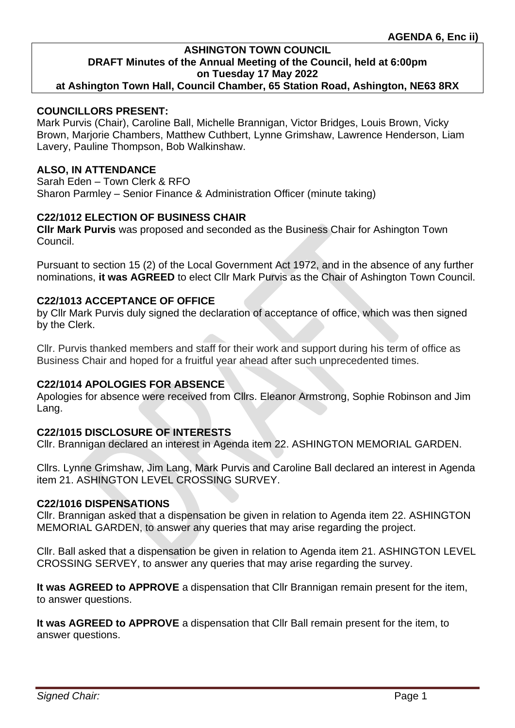**at Ashington Town Hall, Council Chamber, 65 Station Road, Ashington, NE63 8RX**

### **COUNCILLORS PRESENT:**

Mark Purvis (Chair), Caroline Ball, Michelle Brannigan, Victor Bridges, Louis Brown, Vicky Brown, Marjorie Chambers, Matthew Cuthbert, Lynne Grimshaw, Lawrence Henderson, Liam Lavery, Pauline Thompson, Bob Walkinshaw.

### **ALSO, IN ATTENDANCE**

Sarah Eden – Town Clerk & RFO Sharon Parmley – Senior Finance & Administration Officer (minute taking)

### **C22/1012 ELECTION OF BUSINESS CHAIR**

**Cllr Mark Purvis** was proposed and seconded as the Business Chair for Ashington Town Council.

Pursuant to section 15 (2) of the Local Government Act 1972, and in the absence of any further nominations, **it was AGREED** to elect Cllr Mark Purvis as the Chair of Ashington Town Council.

# **C22/1013 ACCEPTANCE OF OFFICE**

by Cllr Mark Purvis duly signed the declaration of acceptance of office, which was then signed by the Clerk.

Cllr. Purvis thanked members and staff for their work and support during his term of office as Business Chair and hoped for a fruitful year ahead after such unprecedented times.

#### **C22/1014 APOLOGIES FOR ABSENCE**

Apologies for absence were received from Cllrs. Eleanor Armstrong, Sophie Robinson and Jim Lang.

### **C22/1015 DISCLOSURE OF INTERESTS**

Cllr. Brannigan declared an interest in Agenda item 22. ASHINGTON MEMORIAL GARDEN.

Cllrs. Lynne Grimshaw, Jim Lang, Mark Purvis and Caroline Ball declared an interest in Agenda item 21. ASHINGTON LEVEL CROSSING SURVEY.

#### **C22/1016 DISPENSATIONS**

Cllr. Brannigan asked that a dispensation be given in relation to Agenda item 22. ASHINGTON MEMORIAL GARDEN, to answer any queries that may arise regarding the project.

Cllr. Ball asked that a dispensation be given in relation to Agenda item 21. ASHINGTON LEVEL CROSSING SERVEY, to answer any queries that may arise regarding the survey.

**It was AGREED to APPROVE** a dispensation that Cllr Brannigan remain present for the item, to answer questions.

**It was AGREED to APPROVE** a dispensation that Cllr Ball remain present for the item, to answer questions.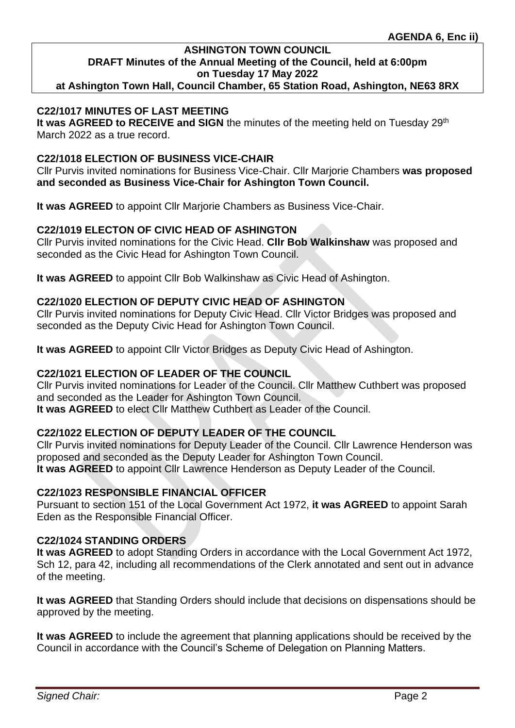**at Ashington Town Hall, Council Chamber, 65 Station Road, Ashington, NE63 8RX**

### **C22/1017 MINUTES OF LAST MEETING**

**It was AGREED to RECEIVE and SIGN** the minutes of the meeting held on Tuesday 29<sup>th</sup> March 2022 as a true record.

### **C22/1018 ELECTION OF BUSINESS VICE-CHAIR**

Cllr Purvis invited nominations for Business Vice-Chair. Cllr Marjorie Chambers **was proposed and seconded as Business Vice-Chair for Ashington Town Council.**

**It was AGREED** to appoint Cllr Marjorie Chambers as Business Vice-Chair.

### **C22/1019 ELECTON OF CIVIC HEAD OF ASHINGTON**

Cllr Purvis invited nominations for the Civic Head. **Cllr Bob Walkinshaw** was proposed and seconded as the Civic Head for Ashington Town Council.

**It was AGREED** to appoint Cllr Bob Walkinshaw as Civic Head of Ashington.

### **C22/1020 ELECTION OF DEPUTY CIVIC HEAD OF ASHINGTON**

Cllr Purvis invited nominations for Deputy Civic Head. Cllr Victor Bridges was proposed and seconded as the Deputy Civic Head for Ashington Town Council.

**It was AGREED** to appoint Cllr Victor Bridges as Deputy Civic Head of Ashington.

### **C22/1021 ELECTION OF LEADER OF THE COUNCIL**

Cllr Purvis invited nominations for Leader of the Council. Cllr Matthew Cuthbert was proposed and seconded as the Leader for Ashington Town Council. **It was AGREED** to elect Cllr Matthew Cuthbert as Leader of the Council.

### **C22/1022 ELECTION OF DEPUTY LEADER OF THE COUNCIL**

Cllr Purvis invited nominations for Deputy Leader of the Council. Cllr Lawrence Henderson was proposed and seconded as the Deputy Leader for Ashington Town Council. **It was AGREED** to appoint Cllr Lawrence Henderson as Deputy Leader of the Council.

### **C22/1023 RESPONSIBLE FINANCIAL OFFICER**

Pursuant to section 151 of the Local Government Act 1972, **it was AGREED** to appoint Sarah Eden as the Responsible Financial Officer.

#### **C22/1024 STANDING ORDERS**

**It was AGREED** to adopt Standing Orders in accordance with the Local Government Act 1972, Sch 12, para 42, including all recommendations of the Clerk annotated and sent out in advance of the meeting.

**It was AGREED** that Standing Orders should include that decisions on dispensations should be approved by the meeting.

**It was AGREED** to include the agreement that planning applications should be received by the Council in accordance with the Council's Scheme of Delegation on Planning Matters.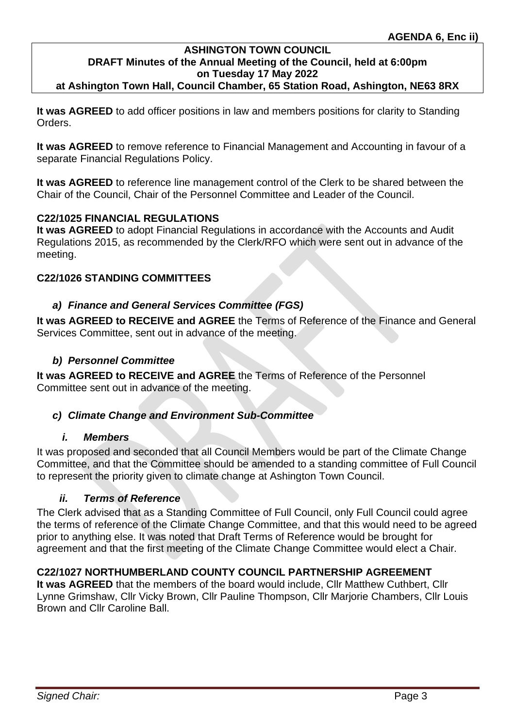**at Ashington Town Hall, Council Chamber, 65 Station Road, Ashington, NE63 8RX**

**It was AGREED** to add officer positions in law and members positions for clarity to Standing Orders.

**It was AGREED** to remove reference to Financial Management and Accounting in favour of a separate Financial Regulations Policy.

**It was AGREED** to reference line management control of the Clerk to be shared between the Chair of the Council, Chair of the Personnel Committee and Leader of the Council.

# **C22/1025 FINANCIAL REGULATIONS**

**It was AGREED** to adopt Financial Regulations in accordance with the Accounts and Audit Regulations 2015, as recommended by the Clerk/RFO which were sent out in advance of the meeting.

### **C22/1026 STANDING COMMITTEES**

### *a) Finance and General Services Committee (FGS)*

**It was AGREED to RECEIVE and AGREE** the Terms of Reference of the Finance and General Services Committee, sent out in advance of the meeting.

### *b) Personnel Committee*

**It was AGREED to RECEIVE and AGREE** the Terms of Reference of the Personnel Committee sent out in advance of the meeting.

### *c) Climate Change and Environment Sub-Committee*

#### *i. Members*

It was proposed and seconded that all Council Members would be part of the Climate Change Committee, and that the Committee should be amended to a standing committee of Full Council to represent the priority given to climate change at Ashington Town Council.

#### *ii. Terms of Reference*

The Clerk advised that as a Standing Committee of Full Council, only Full Council could agree the terms of reference of the Climate Change Committee, and that this would need to be agreed prior to anything else. It was noted that Draft Terms of Reference would be brought for agreement and that the first meeting of the Climate Change Committee would elect a Chair.

### **C22/1027 NORTHUMBERLAND COUNTY COUNCIL PARTNERSHIP AGREEMENT**

**It was AGREED** that the members of the board would include, Cllr Matthew Cuthbert, Cllr Lynne Grimshaw, Cllr Vicky Brown, Cllr Pauline Thompson, Cllr Marjorie Chambers, Cllr Louis Brown and Cllr Caroline Ball.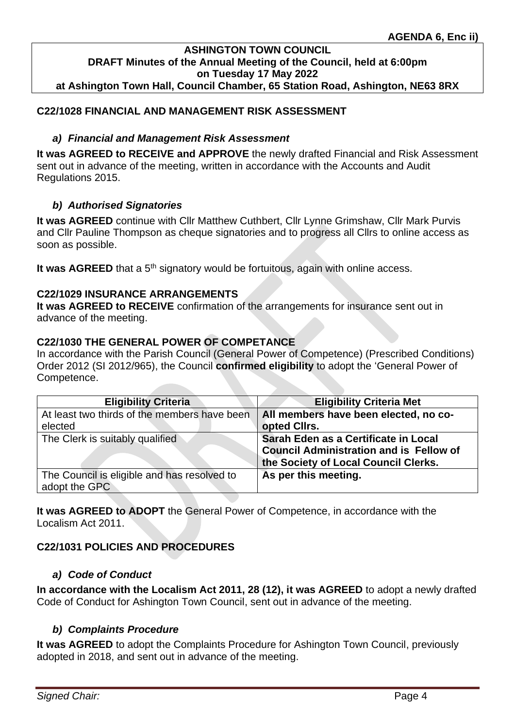#### **ASHINGTON TOWN COUNCIL DRAFT Minutes of the Annual Meeting of the Council, held at 6:00pm on Tuesday 17 May 2022 at Ashington Town Hall, Council Chamber, 65 Station Road, Ashington, NE63 8RX**

### **C22/1028 FINANCIAL AND MANAGEMENT RISK ASSESSMENT**

### *a) Financial and Management Risk Assessment*

**It was AGREED to RECEIVE and APPROVE** the newly drafted Financial and Risk Assessment sent out in advance of the meeting, written in accordance with the Accounts and Audit Regulations 2015.

### *b) Authorised Signatories*

**It was AGREED** continue with Cllr Matthew Cuthbert, Cllr Lynne Grimshaw, Cllr Mark Purvis and Cllr Pauline Thompson as cheque signatories and to progress all Cllrs to online access as soon as possible.

It was AGREED that a 5<sup>th</sup> signatory would be fortuitous, again with online access.

### **C22/1029 INSURANCE ARRANGEMENTS**

**It was AGREED to RECEIVE** confirmation of the arrangements for insurance sent out in advance of the meeting.

### **C22/1030 THE GENERAL POWER OF COMPETANCE**

In accordance with the Parish Council (General Power of Competence) (Prescribed Conditions) Order 2012 (SI 2012/965), the Council **confirmed eligibility** to adopt the 'General Power of Competence.

| <b>Eligibility Criteria</b>                                  | <b>Eligibility Criteria Met</b>                                                                                                |
|--------------------------------------------------------------|--------------------------------------------------------------------------------------------------------------------------------|
| At least two thirds of the members have been<br>elected      | All members have been elected, no co-<br>opted Cllrs.                                                                          |
| The Clerk is suitably qualified                              | Sarah Eden as a Certificate in Local<br><b>Council Administration and is Fellow of</b><br>the Society of Local Council Clerks. |
| The Council is eligible and has resolved to<br>adopt the GPC | As per this meeting.                                                                                                           |

**It was AGREED to ADOPT** the General Power of Competence, in accordance with the Localism Act 2011.

# **C22/1031 POLICIES AND PROCEDURES**

### *a) Code of Conduct*

**In accordance with the Localism Act 2011, 28 (12), it was AGREED** to adopt a newly drafted Code of Conduct for Ashington Town Council, sent out in advance of the meeting.

### *b) Complaints Procedure*

**It was AGREED** to adopt the Complaints Procedure for Ashington Town Council, previously adopted in 2018, and sent out in advance of the meeting.